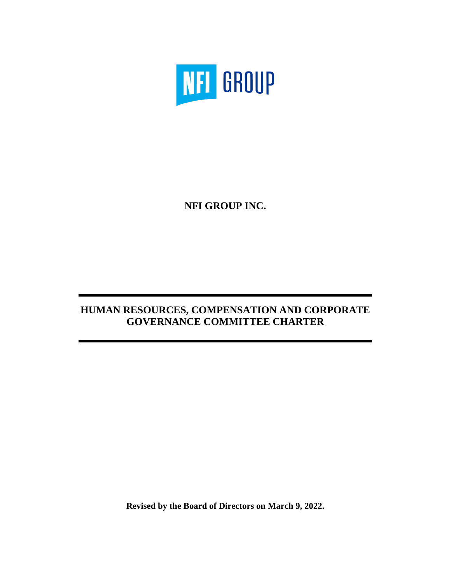

**NFI GROUP INC.**

# **HUMAN RESOURCES, COMPENSATION AND CORPORATE GOVERNANCE COMMITTEE CHARTER**

**Revised by the Board of Directors on March 9, 2022.**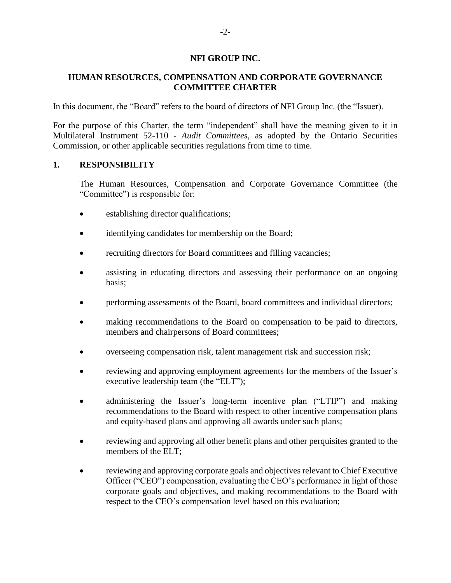#### **NFI GROUP INC.**

### **HUMAN RESOURCES, COMPENSATION AND CORPORATE GOVERNANCE COMMITTEE CHARTER**

In this document, the "Board" refers to the board of directors of NFI Group Inc. (the "Issuer).

For the purpose of this Charter, the term "independent" shall have the meaning given to it in Multilateral Instrument 52-110 - *Audit Committees*, as adopted by the Ontario Securities Commission, or other applicable securities regulations from time to time.

#### **1. RESPONSIBILITY**

The Human Resources, Compensation and Corporate Governance Committee (the "Committee") is responsible for:

- establishing director qualifications;
- identifying candidates for membership on the Board;
- recruiting directors for Board committees and filling vacancies;
- assisting in educating directors and assessing their performance on an ongoing basis;
- performing assessments of the Board, board committees and individual directors;
- making recommendations to the Board on compensation to be paid to directors, members and chairpersons of Board committees;
- overseeing compensation risk, talent management risk and succession risk;
- reviewing and approving employment agreements for the members of the Issuer's executive leadership team (the "ELT");
- administering the Issuer's long-term incentive plan ("LTIP") and making recommendations to the Board with respect to other incentive compensation plans and equity-based plans and approving all awards under such plans;
- reviewing and approving all other benefit plans and other perquisites granted to the members of the ELT;
- reviewing and approving corporate goals and objectives relevant to Chief Executive Officer ("CEO") compensation, evaluating the CEO's performance in light of those corporate goals and objectives, and making recommendations to the Board with respect to the CEO's compensation level based on this evaluation;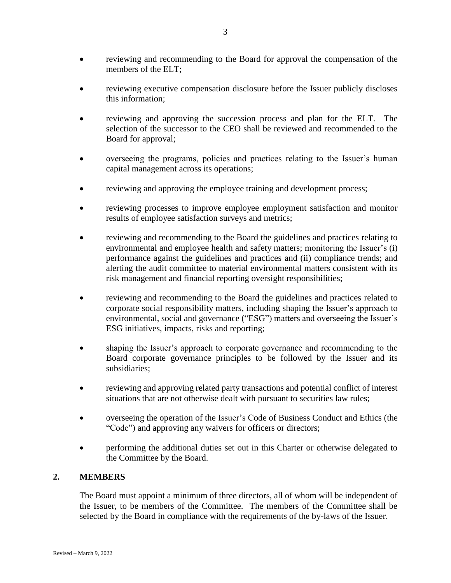- reviewing and recommending to the Board for approval the compensation of the members of the ELT;
- reviewing executive compensation disclosure before the Issuer publicly discloses this information;
- reviewing and approving the succession process and plan for the ELT. The selection of the successor to the CEO shall be reviewed and recommended to the Board for approval;
- overseeing the programs, policies and practices relating to the Issuer's human capital management across its operations;
- reviewing and approving the employee training and development process;
- reviewing processes to improve employee employment satisfaction and monitor results of employee satisfaction surveys and metrics;
- reviewing and recommending to the Board the guidelines and practices relating to environmental and employee health and safety matters; monitoring the Issuer's (i) performance against the guidelines and practices and (ii) compliance trends; and alerting the audit committee to material environmental matters consistent with its risk management and financial reporting oversight responsibilities;
- reviewing and recommending to the Board the guidelines and practices related to corporate social responsibility matters, including shaping the Issuer's approach to environmental, social and governance ("ESG") matters and overseeing the Issuer's ESG initiatives, impacts, risks and reporting;
- shaping the Issuer's approach to corporate governance and recommending to the Board corporate governance principles to be followed by the Issuer and its subsidiaries;
- reviewing and approving related party transactions and potential conflict of interest situations that are not otherwise dealt with pursuant to securities law rules;
- overseeing the operation of the Issuer's Code of Business Conduct and Ethics (the "Code") and approving any waivers for officers or directors;
- performing the additional duties set out in this Charter or otherwise delegated to the Committee by the Board.

# **2. MEMBERS**

The Board must appoint a minimum of three directors, all of whom will be independent of the Issuer, to be members of the Committee. The members of the Committee shall be selected by the Board in compliance with the requirements of the by-laws of the Issuer.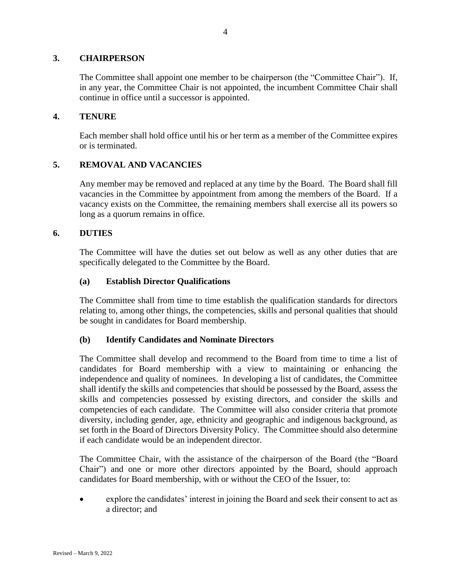### **3. CHAIRPERSON**

The Committee shall appoint one member to be chairperson (the "Committee Chair"). If, in any year, the Committee Chair is not appointed, the incumbent Committee Chair shall continue in office until a successor is appointed.

### **4. TENURE**

Each member shall hold office until his or her term as a member of the Committee expires or is terminated.

### **5. REMOVAL AND VACANCIES**

Any member may be removed and replaced at any time by the Board. The Board shall fill vacancies in the Committee by appointment from among the members of the Board. If a vacancy exists on the Committee, the remaining members shall exercise all its powers so long as a quorum remains in office.

#### **6. DUTIES**

The Committee will have the duties set out below as well as any other duties that are specifically delegated to the Committee by the Board.

#### **(a) Establish Director Qualifications**

The Committee shall from time to time establish the qualification standards for directors relating to, among other things, the competencies, skills and personal qualities that should be sought in candidates for Board membership.

#### **(b) Identify Candidates and Nominate Directors**

The Committee shall develop and recommend to the Board from time to time a list of candidates for Board membership with a view to maintaining or enhancing the independence and quality of nominees. In developing a list of candidates, the Committee shall identify the skills and competencies that should be possessed by the Board, assess the skills and competencies possessed by existing directors, and consider the skills and competencies of each candidate. The Committee will also consider criteria that promote diversity, including gender, age, ethnicity and geographic and indigenous background, as set forth in the Board of Directors Diversity Policy. The Committee should also determine if each candidate would be an independent director.

The Committee Chair, with the assistance of the chairperson of the Board (the "Board Chair") and one or more other directors appointed by the Board, should approach candidates for Board membership, with or without the CEO of the Issuer, to:

• explore the candidates' interest in joining the Board and seek their consent to act as a director; and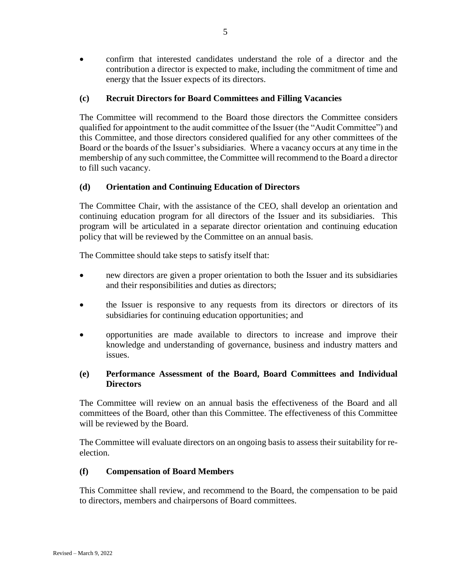• confirm that interested candidates understand the role of a director and the contribution a director is expected to make, including the commitment of time and energy that the Issuer expects of its directors.

### **(c) Recruit Directors for Board Committees and Filling Vacancies**

The Committee will recommend to the Board those directors the Committee considers qualified for appointment to the audit committee of the Issuer (the "Audit Committee") and this Committee, and those directors considered qualified for any other committees of the Board or the boards of the Issuer's subsidiaries. Where a vacancy occurs at any time in the membership of any such committee, the Committee will recommend to the Board a director to fill such vacancy.

### **(d) Orientation and Continuing Education of Directors**

The Committee Chair, with the assistance of the CEO, shall develop an orientation and continuing education program for all directors of the Issuer and its subsidiaries. This program will be articulated in a separate director orientation and continuing education policy that will be reviewed by the Committee on an annual basis.

The Committee should take steps to satisfy itself that:

- new directors are given a proper orientation to both the Issuer and its subsidiaries and their responsibilities and duties as directors;
- the Issuer is responsive to any requests from its directors or directors of its subsidiaries for continuing education opportunities; and
- opportunities are made available to directors to increase and improve their knowledge and understanding of governance, business and industry matters and issues.

### **(e) Performance Assessment of the Board, Board Committees and Individual Directors**

The Committee will review on an annual basis the effectiveness of the Board and all committees of the Board, other than this Committee. The effectiveness of this Committee will be reviewed by the Board.

The Committee will evaluate directors on an ongoing basis to assess their suitability for reelection.

### **(f) Compensation of Board Members**

This Committee shall review, and recommend to the Board, the compensation to be paid to directors, members and chairpersons of Board committees.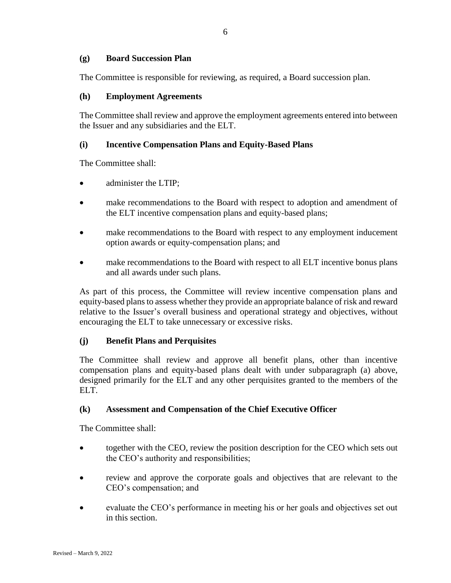### **(g) Board Succession Plan**

The Committee is responsible for reviewing, as required, a Board succession plan.

#### **(h) Employment Agreements**

The Committee shall review and approve the employment agreements entered into between the Issuer and any subsidiaries and the ELT.

#### **(i) Incentive Compensation Plans and Equity-Based Plans**

The Committee shall:

- administer the LTIP:
- make recommendations to the Board with respect to adoption and amendment of the ELT incentive compensation plans and equity-based plans;
- make recommendations to the Board with respect to any employment inducement option awards or equity-compensation plans; and
- make recommendations to the Board with respect to all ELT incentive bonus plans and all awards under such plans.

As part of this process, the Committee will review incentive compensation plans and equity-based plans to assess whether they provide an appropriate balance of risk and reward relative to the Issuer's overall business and operational strategy and objectives, without encouraging the ELT to take unnecessary or excessive risks.

#### **(j) Benefit Plans and Perquisites**

The Committee shall review and approve all benefit plans, other than incentive compensation plans and equity-based plans dealt with under subparagraph (a) above, designed primarily for the ELT and any other perquisites granted to the members of the ELT.

### **(k) Assessment and Compensation of the Chief Executive Officer**

The Committee shall:

- together with the CEO, review the position description for the CEO which sets out the CEO's authority and responsibilities;
- review and approve the corporate goals and objectives that are relevant to the CEO's compensation; and
- evaluate the CEO's performance in meeting his or her goals and objectives set out in this section.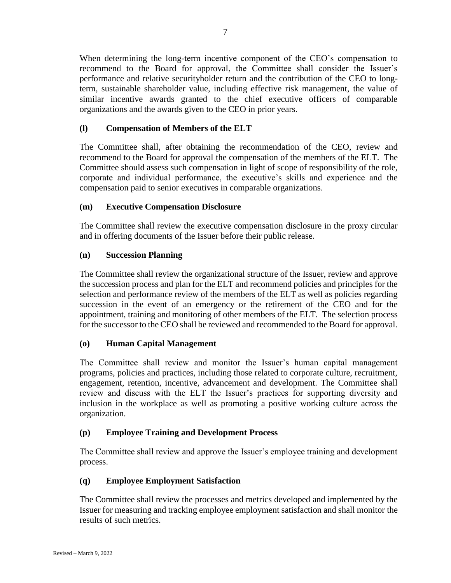When determining the long-term incentive component of the CEO's compensation to recommend to the Board for approval, the Committee shall consider the Issuer's performance and relative securityholder return and the contribution of the CEO to longterm, sustainable shareholder value, including effective risk management, the value of similar incentive awards granted to the chief executive officers of comparable organizations and the awards given to the CEO in prior years.

# **(l) Compensation of Members of the ELT**

The Committee shall, after obtaining the recommendation of the CEO, review and recommend to the Board for approval the compensation of the members of the ELT. The Committee should assess such compensation in light of scope of responsibility of the role, corporate and individual performance, the executive's skills and experience and the compensation paid to senior executives in comparable organizations.

# **(m) Executive Compensation Disclosure**

The Committee shall review the executive compensation disclosure in the proxy circular and in offering documents of the Issuer before their public release.

### **(n) Succession Planning**

The Committee shall review the organizational structure of the Issuer, review and approve the succession process and plan for the ELT and recommend policies and principles for the selection and performance review of the members of the ELT as well as policies regarding succession in the event of an emergency or the retirement of the CEO and for the appointment, training and monitoring of other members of the ELT. The selection process for the successor to the CEO shall be reviewed and recommended to the Board for approval.

# **(o) Human Capital Management**

The Committee shall review and monitor the Issuer's human capital management programs, policies and practices, including those related to corporate culture, recruitment, engagement, retention, incentive, advancement and development. The Committee shall review and discuss with the ELT the Issuer's practices for supporting diversity and inclusion in the workplace as well as promoting a positive working culture across the organization.

# **(p) Employee Training and Development Process**

The Committee shall review and approve the Issuer's employee training and development process.

# **(q) Employee Employment Satisfaction**

The Committee shall review the processes and metrics developed and implemented by the Issuer for measuring and tracking employee employment satisfaction and shall monitor the results of such metrics.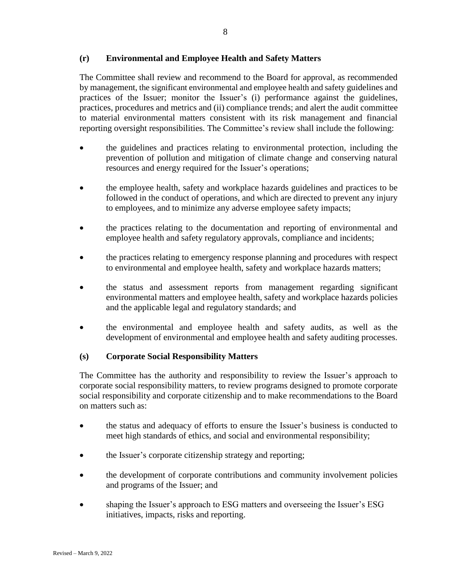### **(r) Environmental and Employee Health and Safety Matters**

The Committee shall review and recommend to the Board for approval, as recommended by management, the significant environmental and employee health and safety guidelines and practices of the Issuer; monitor the Issuer's (i) performance against the guidelines, practices, procedures and metrics and (ii) compliance trends; and alert the audit committee to material environmental matters consistent with its risk management and financial reporting oversight responsibilities. The Committee's review shall include the following:

- the guidelines and practices relating to environmental protection, including the prevention of pollution and mitigation of climate change and conserving natural resources and energy required for the Issuer's operations;
- the employee health, safety and workplace hazards guidelines and practices to be followed in the conduct of operations, and which are directed to prevent any injury to employees, and to minimize any adverse employee safety impacts;
- the practices relating to the documentation and reporting of environmental and employee health and safety regulatory approvals, compliance and incidents;
- the practices relating to emergency response planning and procedures with respect to environmental and employee health, safety and workplace hazards matters;
- the status and assessment reports from management regarding significant environmental matters and employee health, safety and workplace hazards policies and the applicable legal and regulatory standards; and
- the environmental and employee health and safety audits, as well as the development of environmental and employee health and safety auditing processes.

### **(s) Corporate Social Responsibility Matters**

The Committee has the authority and responsibility to review the Issuer's approach to corporate social responsibility matters, to review programs designed to promote corporate social responsibility and corporate citizenship and to make recommendations to the Board on matters such as:

- the status and adequacy of efforts to ensure the Issuer's business is conducted to meet high standards of ethics, and social and environmental responsibility;
- the Issuer's corporate citizenship strategy and reporting;
- the development of corporate contributions and community involvement policies and programs of the Issuer; and
- shaping the Issuer's approach to ESG matters and overseeing the Issuer's ESG initiatives, impacts, risks and reporting.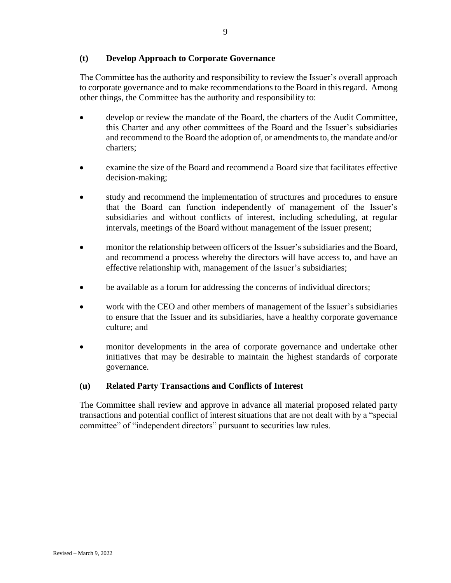### **(t) Develop Approach to Corporate Governance**

The Committee has the authority and responsibility to review the Issuer's overall approach to corporate governance and to make recommendations to the Board in this regard. Among other things, the Committee has the authority and responsibility to:

- develop or review the mandate of the Board, the charters of the Audit Committee, this Charter and any other committees of the Board and the Issuer's subsidiaries and recommend to the Board the adoption of, or amendments to, the mandate and/or charters;
- examine the size of the Board and recommend a Board size that facilitates effective decision-making;
- study and recommend the implementation of structures and procedures to ensure that the Board can function independently of management of the Issuer's subsidiaries and without conflicts of interest, including scheduling, at regular intervals, meetings of the Board without management of the Issuer present;
- monitor the relationship between officers of the Issuer's subsidiaries and the Board, and recommend a process whereby the directors will have access to, and have an effective relationship with, management of the Issuer's subsidiaries;
- be available as a forum for addressing the concerns of individual directors;
- work with the CEO and other members of management of the Issuer's subsidiaries to ensure that the Issuer and its subsidiaries, have a healthy corporate governance culture; and
- monitor developments in the area of corporate governance and undertake other initiatives that may be desirable to maintain the highest standards of corporate governance.

### **(u) Related Party Transactions and Conflicts of Interest**

The Committee shall review and approve in advance all material proposed related party transactions and potential conflict of interest situations that are not dealt with by a "special committee" of "independent directors" pursuant to securities law rules.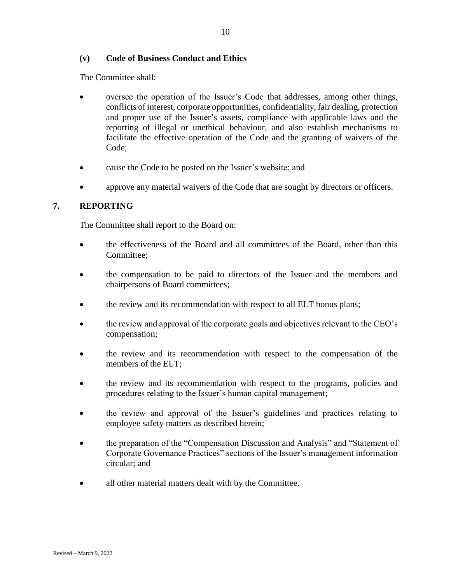### **(v) Code of Business Conduct and Ethics**

The Committee shall:

- oversee the operation of the Issuer's Code that addresses, among other things, conflicts of interest, corporate opportunities, confidentiality, fair dealing, protection and proper use of the Issuer's assets, compliance with applicable laws and the reporting of illegal or unethical behaviour, and also establish mechanisms to facilitate the effective operation of the Code and the granting of waivers of the Code;
- cause the Code to be posted on the Issuer's website; and
- approve any material waivers of the Code that are sought by directors or officers.

### **7. REPORTING**

The Committee shall report to the Board on:

- the effectiveness of the Board and all committees of the Board, other than this Committee;
- the compensation to be paid to directors of the Issuer and the members and chairpersons of Board committees;
- the review and its recommendation with respect to all ELT bonus plans;
- the review and approval of the corporate goals and objectives relevant to the CEO's compensation;
- the review and its recommendation with respect to the compensation of the members of the ELT;
- the review and its recommendation with respect to the programs, policies and procedures relating to the Issuer's human capital management;
- the review and approval of the Issuer's guidelines and practices relating to employee safety matters as described herein;
- the preparation of the "Compensation Discussion and Analysis" and "Statement of Corporate Governance Practices" sections of the Issuer's management information circular; and
- all other material matters dealt with by the Committee.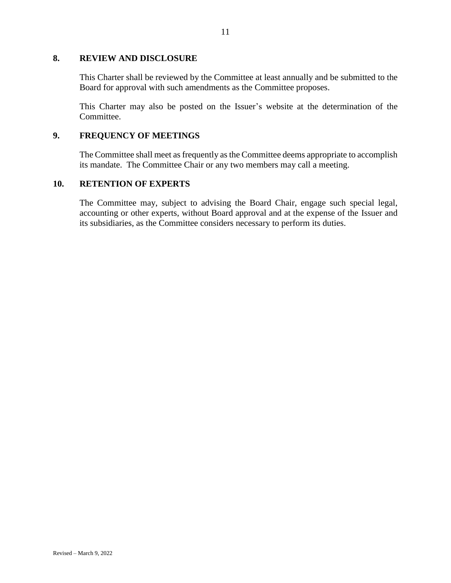### **8. REVIEW AND DISCLOSURE**

This Charter shall be reviewed by the Committee at least annually and be submitted to the Board for approval with such amendments as the Committee proposes.

This Charter may also be posted on the Issuer's website at the determination of the Committee.

### **9. FREQUENCY OF MEETINGS**

The Committee shall meet as frequently as the Committee deems appropriate to accomplish its mandate. The Committee Chair or any two members may call a meeting.

#### **10. RETENTION OF EXPERTS**

The Committee may, subject to advising the Board Chair, engage such special legal, accounting or other experts, without Board approval and at the expense of the Issuer and its subsidiaries, as the Committee considers necessary to perform its duties.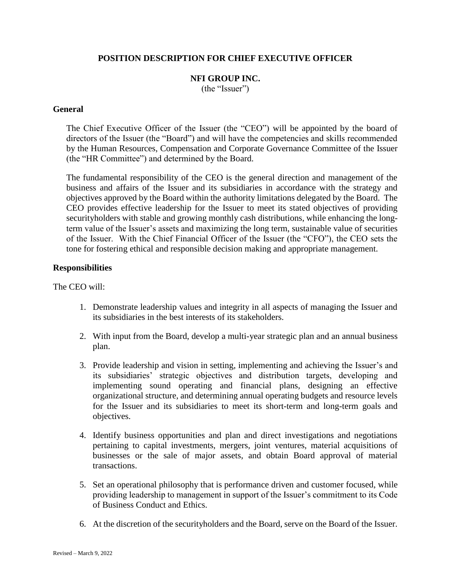### **POSITION DESCRIPTION FOR CHIEF EXECUTIVE OFFICER**

#### **NFI GROUP INC.** (the "Issuer")

#### **General**

The Chief Executive Officer of the Issuer (the "CEO") will be appointed by the board of directors of the Issuer (the "Board") and will have the competencies and skills recommended by the Human Resources, Compensation and Corporate Governance Committee of the Issuer (the "HR Committee") and determined by the Board.

The fundamental responsibility of the CEO is the general direction and management of the business and affairs of the Issuer and its subsidiaries in accordance with the strategy and objectives approved by the Board within the authority limitations delegated by the Board. The CEO provides effective leadership for the Issuer to meet its stated objectives of providing securityholders with stable and growing monthly cash distributions, while enhancing the longterm value of the Issuer's assets and maximizing the long term, sustainable value of securities of the Issuer. With the Chief Financial Officer of the Issuer (the "CFO"), the CEO sets the tone for fostering ethical and responsible decision making and appropriate management.

#### **Responsibilities**

The CEO will:

- 1. Demonstrate leadership values and integrity in all aspects of managing the Issuer and its subsidiaries in the best interests of its stakeholders.
- 2. With input from the Board, develop a multi-year strategic plan and an annual business plan.
- 3. Provide leadership and vision in setting, implementing and achieving the Issuer's and its subsidiaries' strategic objectives and distribution targets, developing and implementing sound operating and financial plans, designing an effective organizational structure, and determining annual operating budgets and resource levels for the Issuer and its subsidiaries to meet its short-term and long-term goals and objectives.
- 4. Identify business opportunities and plan and direct investigations and negotiations pertaining to capital investments, mergers, joint ventures, material acquisitions of businesses or the sale of major assets, and obtain Board approval of material transactions.
- 5. Set an operational philosophy that is performance driven and customer focused, while providing leadership to management in support of the Issuer's commitment to its Code of Business Conduct and Ethics.
- 6. At the discretion of the securityholders and the Board, serve on the Board of the Issuer.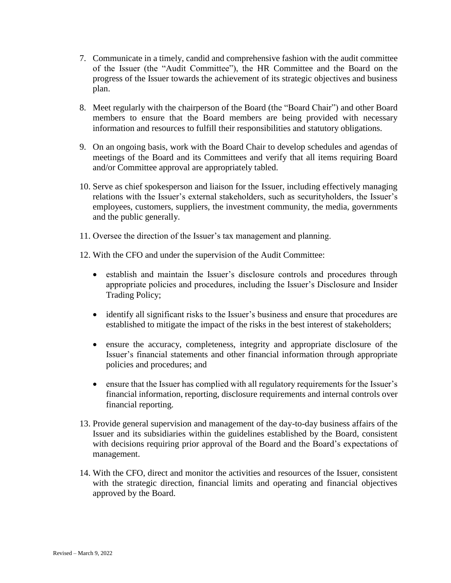- 7. Communicate in a timely, candid and comprehensive fashion with the audit committee of the Issuer (the "Audit Committee"), the HR Committee and the Board on the progress of the Issuer towards the achievement of its strategic objectives and business plan.
- 8. Meet regularly with the chairperson of the Board (the "Board Chair") and other Board members to ensure that the Board members are being provided with necessary information and resources to fulfill their responsibilities and statutory obligations.
- 9. On an ongoing basis, work with the Board Chair to develop schedules and agendas of meetings of the Board and its Committees and verify that all items requiring Board and/or Committee approval are appropriately tabled.
- 10. Serve as chief spokesperson and liaison for the Issuer, including effectively managing relations with the Issuer's external stakeholders, such as securityholders, the Issuer's employees, customers, suppliers, the investment community, the media, governments and the public generally.
- 11. Oversee the direction of the Issuer's tax management and planning.
- 12. With the CFO and under the supervision of the Audit Committee:
	- establish and maintain the Issuer's disclosure controls and procedures through appropriate policies and procedures, including the Issuer's Disclosure and Insider Trading Policy;
	- identify all significant risks to the Issuer's business and ensure that procedures are established to mitigate the impact of the risks in the best interest of stakeholders;
	- ensure the accuracy, completeness, integrity and appropriate disclosure of the Issuer's financial statements and other financial information through appropriate policies and procedures; and
	- ensure that the Issuer has complied with all regulatory requirements for the Issuer's financial information, reporting, disclosure requirements and internal controls over financial reporting.
- 13. Provide general supervision and management of the day-to-day business affairs of the Issuer and its subsidiaries within the guidelines established by the Board, consistent with decisions requiring prior approval of the Board and the Board's expectations of management.
- 14. With the CFO, direct and monitor the activities and resources of the Issuer, consistent with the strategic direction, financial limits and operating and financial objectives approved by the Board.